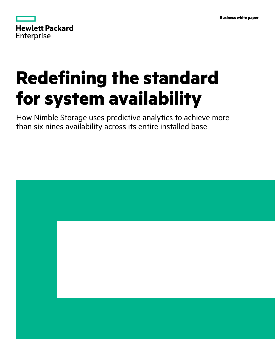| <b>Hewlett Packard</b> |  |  |
|------------------------|--|--|
| <b>Enterprise</b>      |  |  |

# **Redefining the standard for system availability**

How Nimble Storage uses predictive analytics to achieve more than six nines availability across its entire installed base

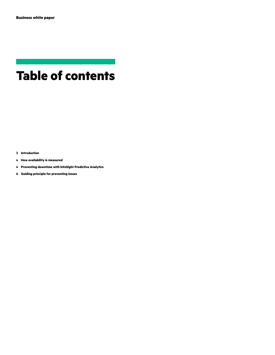# **Table of contents**

**[Introduction](#page-2-0)**

- **[How availability is measured](#page-3-0)**
- **[Preventing downtime with InfoSight Predictive Analytics](#page-3-0)**
- **[Guiding principle for preventing issues](#page-5-0)**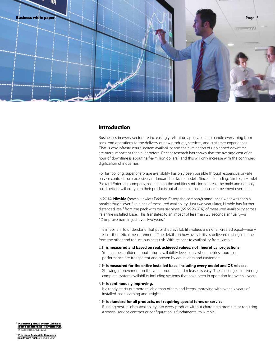<span id="page-2-0"></span>

# **Introduction**

Businesses in every sector are increasingly reliant on applications to handle everything from back-end operations to the delivery of new products, services, and customer experiences. That is why infrastructure system availability and the elimination of unplanned downtime are more important than ever before. Recent research has shown that the average cost of an hour of downtime is about half-a-million dollars,<sup>1</sup> and this will only increase with the continued digitization of industries.

For far too long, superior storage availability has only been possible through expensive, on-site service contracts on excessively redundant hardware models. Since its founding, Nimble, a Hewlett Packard Enterprise company, has been on the ambitious mission to break the mold and not only build better availability into their products but also enable continuous improvement over time.

In 2014, **[Nimble](https://www.hpe.com/storage/nimble)** (now a Hewlett Packard Enterprise company) announced what was then a breakthrough: over five nines of measured availability. Just two years later, Nimble has further distanced itself from the pack with over six nines (99.999928%) of measured availability across its entire installed base. This translates to an impact of less than 25 seconds annually—a 4X improvement in just over two years.<sup>2</sup>

It is important to understand that published availability values are not all created equal—many are just theoretical measurements. The details on how availability is delivered distinguish one from the other and reduce business risk. With respect to availability from Nimble:

- 1. **It is measured and based on real, achieved values, not theoretical projections.** You can be confident about future availability levels only when metrics about past performance are transparent and proven by actual data and customers.
- 2. **It is measured for the entire installed base, including every model and OS release.**  Showing improvement on the latest products and releases is easy. The challenge is delivering complete system availability including systems that have been in operation for over six years.
- 3. **It is continuously improving.**

It already starts out more reliable than others and keeps improving with over six years of installed-base learning and insights.

#### 4. **It is standard for all products, not requiring special terms or service.**

Building best-in-class availability into every product without charging a premium or requiring a special service contract or configuration is fundamental to Nimble.

<sup>1</sup> "**[Maintaining Virtual System Uptime In](https://www.stratus.com/assets/aberdeen-maintaining-virtual-systems-uptime.pdf)  [Today's Transforming IT Infrastructure](https://www.stratus.com/assets/aberdeen-maintaining-virtual-systems-uptime.pdf)**," The Aberdeen Group, 2016

<sup>2</sup> "**[Five Nines Availability Becomes a](https://www.nimblestorage.com/blog/five-nines-availability-becomes-a-reality-with-nimble-storage)  [Reality with Nimble](https://www.nimblestorage.com/blog/five-nines-availability-becomes-a-reality-with-nimble-storage)**," Nimble, 2014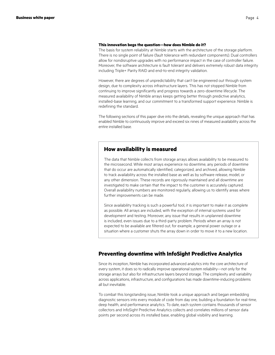#### <span id="page-3-0"></span>**This innovation begs the question—how does Nimble do it?**

The basis for system reliability at Nimble starts with the architecture of the storage platform. There is no single point of failure (fault tolerance with redundant components). Dual controllers allow for nondisruptive upgrades with no performance impact in the case of controller failure. Moreover, the software architecture is fault tolerant and delivers extremely robust data integrity including Triple+ Parity RAID and end-to-end integrity validation.

However, there are degrees of unpredictability that can't be engineered out through system design, due to complexity across infrastructure layers. This has not stopped Nimble from continuing to improve significantly and progress towards a zero-downtime lifecycle. The measured availability of Nimble arrays keeps getting better through predictive analytics, installed-base learning, and our commitment to a transformed support experience. Nimble is redefining the standard.

The following sections of this paper dive into the details, revealing the unique approach that has enabled Nimble to continuously improve and exceed six nines of measured availability across the entire installed base.

# **How availability is measured**

The data that Nimble collects from storage arrays allows availability to be measured to the microsecond. While most arrays experience no downtime, any periods of downtime that do occur are automatically identified, categorized, and archived, allowing Nimble to track availability across the installed base as well as by software release, model, or any other dimension. These records are rigorously maintained and all downtime are investigated to make certain that the impact to the customer is accurately captured. Overall availability numbers are monitored regularly, allowing us to identify areas where further improvements can be made.

Since availability tracking is such a powerful tool, it is important to make it as complete as possible. All arrays are included, with the exception of internal systems used for development and testing. Moreover, any issue that results in unplanned downtime is included, even issues due to a third-party problem. Periods when an array is not expected to be available are filtered out, for example, a general power outage or a situation where a customer shuts the array down in order to move it to a new location.

# **Preventing downtime with InfoSight Predictive Analytics**

Since its inception, Nimble has incorporated advanced analytics into the core architecture of every system, it does so to radically improve operational system reliability—not only for the storage arrays but also for infrastructure layers beyond storage. The complexity and variability across applications, infrastructure, and configurations has made downtime-inducing problems all but inevitable.

To combat this longstanding issue, Nimble took a unique approach and began embedding diagnostic sensors into every module of code from day one, building a foundation for real-time, deep health, and performance analytics. To date, each system contains thousands of sensor collectors and InfoSight Predictive Analytics collects and correlates millions of sensor data points per second across its installed base, enabling global visibility and learning.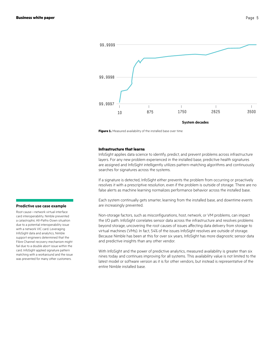

Figure 1. Measured availability of the installed base over time

#### **Infrastructure that learns**

InfoSight applies data science to identify, predict, and prevent problems across infrastructure layers. For any new problem experienced in the installed base, predictive health signatures are assigned and InfoSight intelligently utilizes pattern-matching algorithms and continuously searches for signatures across the systems.

If a signature is detected, InfoSight either prevents the problem from occurring or proactively resolves it with a prescriptive resolution, even if the problem is outside of storage. There are no false alerts as machine learning normalizes performance behavior across the installed base.

Each system continually gets smarter, learning from the installed base, and downtime events are increasingly prevented.

Non-storage factors, such as misconfigurations, host, network, or VM problems, can impact the I/O path. InfoSight correlates sensor data across the infrastructure and resolves problems beyond storage, uncovering the root causes of issues affecting data delivery from storage to virtual machines (VMs). In fact, 54% of the issues InfoSight resolves are outside of storage. Because Nimble has been at this for over six years, InfoSight has more diagnostic sensor data and predictive insights than any other vendor.

With InfoSight and the power of predictive analytics, measured availability is greater than six nines today and continues improving for all systems. This availability value is not limited to the latest model or software version as it is for other vendors, but instead is representative of the entire Nimble installed base.

#### **Predictive use case example**

Root cause—network virtual interface card interoperability. Nimble prevented a catastrophic All-Paths-Down situation due to a potential interoperability issue with a network VIC card. Leveraging InfoSight data and analytics, Nimble support engineers determined that the Fibre Channel recovery mechanism might fail due to a double abort issue within the card. InfoSight applied signature pattern matching with a workaround and the issue was prevented for many other customers.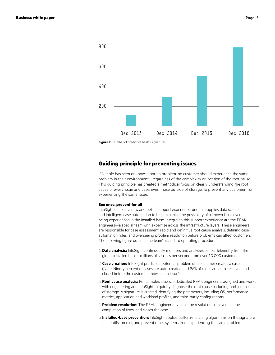<span id="page-5-0"></span>

**Figure 2.** Number of predictive health signatures

### **Guiding principle for preventing issues**

If Nimble has seen or knows about a problem, no customer should experience the same problem in their environment—regardless of the complexity or location of the root cause. This guiding principle has created a methodical focus on clearly understanding the root cause of every issue and case, even those outside of storage, to prevent any customer from experiencing the same issue.

#### **See once, prevent for all**

InfoSight enables a new and better support experience, one that applies data science and intelligent case automation to help minimize the possibility of a known issue ever being experienced in the installed base. Integral to this support experience are the PEAK engineers—a special team with expertise across the infrastructure layers. These engineers are responsible for case assessment, rapid and definitive root cause analysis, defining case automation rules, and overseeing problem resolution before problems can affect customers. The following figure outlines the team's standard operating procedure.

- 1.**Data analysis:** InfoSight continuously monitors and analyzes sensor telemetry from the global installed base—millions of sensors per second from over 10,000 customers.
- 2. **Case creation:** InfoSight predicts a potential problem or a customer creates a case (Note: Ninety percent of cases are auto-created and 86% of cases are auto-resolved and closed before the customer knows of an issue).
- 3. **Root cause analysis:** For complex issues, a dedicated PEAK engineer is assigned and works with engineering and InfoSight to quickly diagnose the root cause, including problems outside of storage. A signature is created identifying the parameters, including OS, performance metrics, application and workload profiles, and third-party configurations.
- 4.**Problem resolution:** The PEAK engineer develops the resolution plan, verifies the completion of fixes, and closes the case.
- 5. **Installed-base prevention:** InfoSight applies pattern-matching algorithms on the signature to identify, predict, and prevent other systems from experiencing the same problem.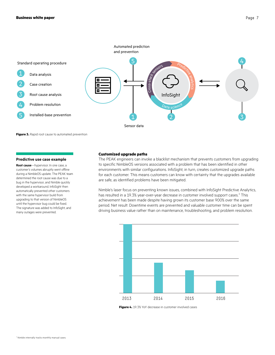

**Figure 3.** Rapid root cause to automated prevention

#### **Predictive use case example**

**Root cause**—hypervisor. In one case, a customer's volumes abruptly went offline during a NimbleOS update. The PEAK team determined the root cause was due to a bug in the hypervisor, and Nimble quickly developed a workaround. InfoSight then automatically prevented other customers with the same hypervisor build from upgrading to that version of NimbleOS until the hypervisor bug could be fixed. The signature was added to InfoSight, and many outages were prevented.

#### **Customized upgrade paths**

The PEAK engineers can invoke a blacklist mechanism that prevents customers from upgrading to specific NimbleOS versions associated with a problem that has been identified in other environments with similar configurations. InfoSight, in turn, creates customized upgrade paths for each customer. This means customers can know with certainty that the upgrades available are safe, as identified problems have been mitigated.

Nimble's laser focus on preventing known issues, combined with InfoSight Predictive Analytics, has resulted in a 19.3% year-over-year decrease in customer involved support cases.<sup>3</sup> This achievement has been made despite having grown its customer base 900% over the same period. Net result: Downtime events are prevented and valuable customer time can be spent driving business value rather than on maintenance, troubleshooting, and problem resolution.



**Figure 4.** 19.3% YoY decrease in customer involved cases